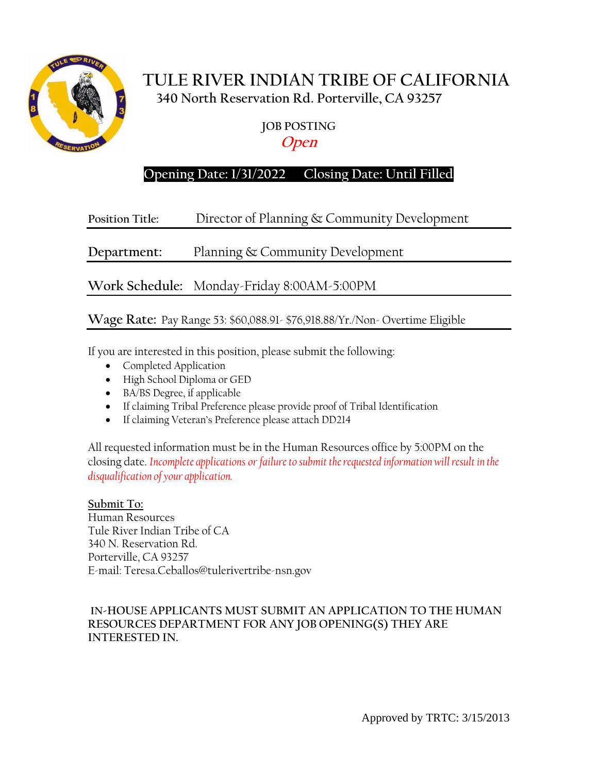

# **TULE RIVER INDIAN TRIBE OF CALIFORNIA 340 North Reservation Rd. Porterville, CA 93257**

**JOB POSTING**

**Open**

# **Opening Date: 1/31/2022 Closing Date: Until Filled**

# **Position Title:** Director of Planning & Community Development

**Department:** Planning & Community Development

**Work Schedule:** Monday-Friday 8:00AM-5:00PM

## **Wage Rate:** Pay Range 53: \$60,088.91- \$76,918.88/Yr./Non- Overtime Eligible

If you are interested in this position, please submit the following:

- Completed Application
- High School Diploma or GED
- BA/BS Degree, if applicable
- If claiming Tribal Preference please provide proof of Tribal Identification
- If claiming Veteran's Preference please attach DD214

All requested information must be in the Human Resources office by 5:00PM on the closing date. *Incomplete applications or failure to submit the requested information will result in the disqualification of your application.*

**Submit To:** Human Resources Tule River Indian Tribe of CA 340 N. Reservation Rd. Porterville, CA 93257 E-mail: Teresa.Ceballos@tulerivertribe-nsn.gov

#### **IN-HOUSE APPLICANTS MUST SUBMIT AN APPLICATION TO THE HUMAN RESOURCES DEPARTMENT FOR ANY JOB OPENING(S) THEY ARE INTERESTED IN.**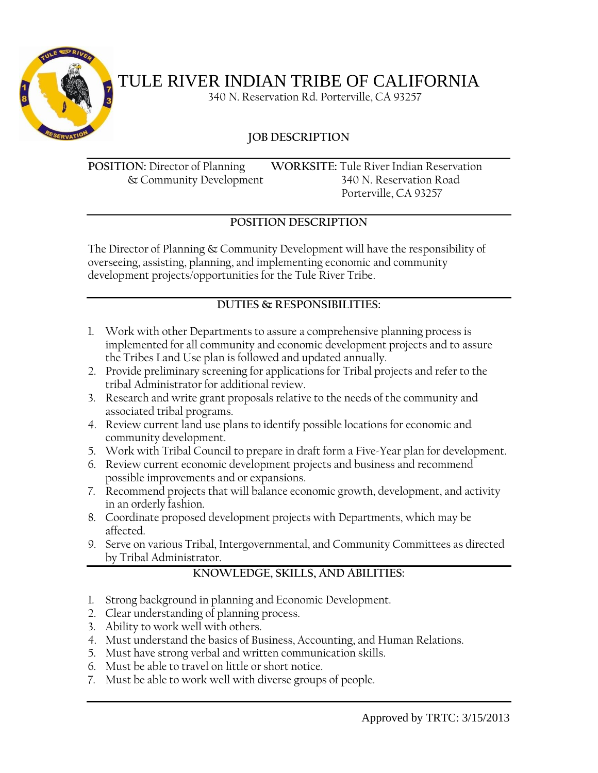

# TULE RIVER INDIAN TRIBE OF CALIFORNIA

340 N. Reservation Rd. Porterville, CA 93257

## **JOB DESCRIPTION**

**POSITION:** Director of Planning **WORKSITE:** Tule River Indian Reservation & Community Development 340 N. Reservation Road Porterville, CA 93257

## **POSITION DESCRIPTION**

The Director of Planning & Community Development will have the responsibility of overseeing, assisting, planning, and implementing economic and community development projects/opportunities for the Tule River Tribe.

### **DUTIES & RESPONSIBILITIES:**

- 1. Work with other Departments to assure a comprehensive planning process is implemented for all community and economic development projects and to assure the Tribes Land Use plan is followed and updated annually.
- 2. Provide preliminary screening for applications for Tribal projects and refer to the tribal Administrator for additional review.
- 3. Research and write grant proposals relative to the needs of the community and associated tribal programs.
- 4. Review current land use plans to identify possible locations for economic and community development.
- 5. Work with Tribal Council to prepare in draft form a Five-Year plan for development.
- 6. Review current economic development projects and business and recommend possible improvements and or expansions.
- 7. Recommend projects that will balance economic growth, development, and activity in an orderly fashion.
- 8. Coordinate proposed development projects with Departments, which may be affected.
- 9. Serve on various Tribal, Intergovernmental, and Community Committees as directed by Tribal Administrator.

### **KNOWLEDGE, SKILLS, AND ABILITIES:**

- 1. Strong background in planning and Economic Development.
- 2. Clear understanding of planning process.
- 3. Ability to work well with others.
- 4. Must understand the basics of Business, Accounting, and Human Relations.
- 5. Must have strong verbal and written communication skills.
- 6. Must be able to travel on little or short notice.
- 7. Must be able to work well with diverse groups of people.